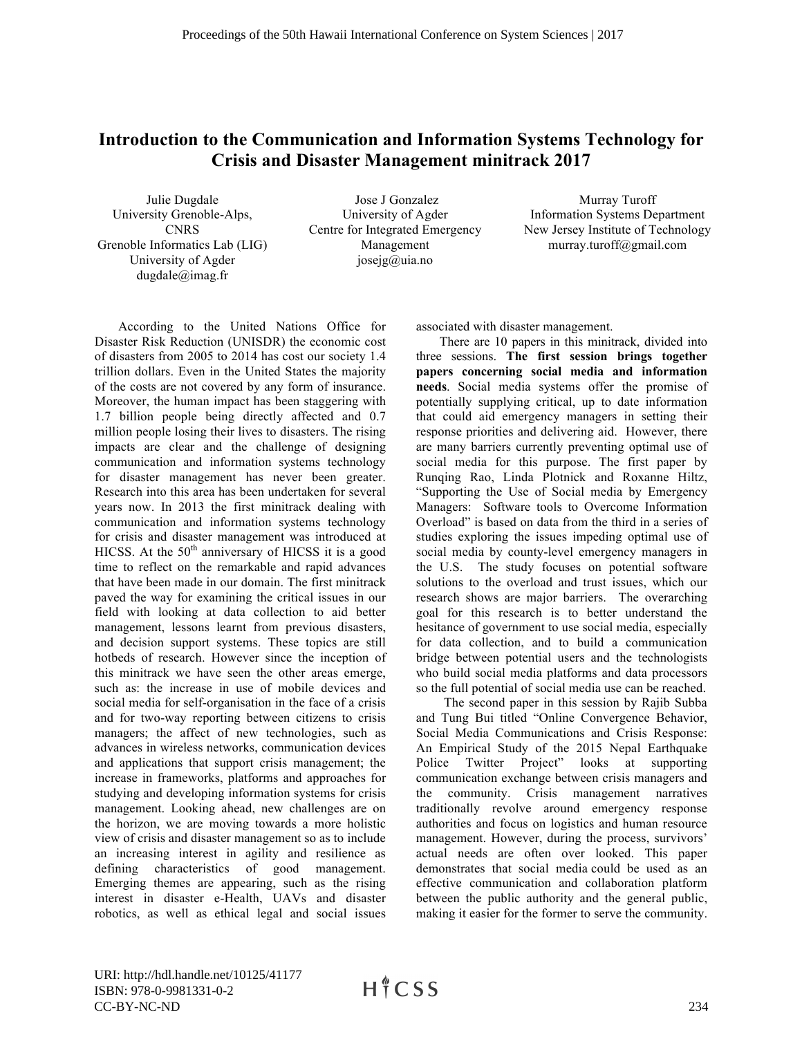## **Introduction to the Communication and Information Systems Technology for Crisis and Disaster Management minitrack 2017**

Julie Dugdale University Grenoble-Alps, **CNRS** Grenoble Informatics Lab (LIG) University of Agder dugdale@imag.fr

Jose J Gonzalez University of Agder Centre for Integrated Emergency Management josejg@uia.no

Murray Turoff Information Systems Department New Jersey Institute of Technology murray.turoff@gmail.com

According to the United Nations Office for Disaster Risk Reduction (UNISDR) the economic cost of disasters from 2005 to 2014 has cost our society 1.4 trillion dollars. Even in the United States the majority of the costs are not covered by any form of insurance. Moreover, the human impact has been staggering with 1.7 billion people being directly affected and 0.7 million people losing their lives to disasters. The rising impacts are clear and the challenge of designing communication and information systems technology for disaster management has never been greater. Research into this area has been undertaken for several years now. In 2013 the first minitrack dealing with communication and information systems technology for crisis and disaster management was introduced at HICSS. At the  $50<sup>th</sup>$  anniversary of HICSS it is a good time to reflect on the remarkable and rapid advances that have been made in our domain. The first minitrack paved the way for examining the critical issues in our field with looking at data collection to aid better management, lessons learnt from previous disasters, and decision support systems. These topics are still hotbeds of research. However since the inception of this minitrack we have seen the other areas emerge, such as: the increase in use of mobile devices and social media for self-organisation in the face of a crisis and for two-way reporting between citizens to crisis managers; the affect of new technologies, such as advances in wireless networks, communication devices and applications that support crisis management; the increase in frameworks, platforms and approaches for studying and developing information systems for crisis management. Looking ahead, new challenges are on the horizon, we are moving towards a more holistic view of crisis and disaster management so as to include an increasing interest in agility and resilience as defining characteristics of good management. Emerging themes are appearing, such as the rising interest in disaster e-Health, UAVs and disaster robotics, as well as ethical legal and social issues

associated with disaster management.

There are 10 papers in this minitrack, divided into three sessions. **The first session brings together papers concerning social media and information needs**. Social media systems offer the promise of potentially supplying critical, up to date information that could aid emergency managers in setting their response priorities and delivering aid. However, there are many barriers currently preventing optimal use of social media for this purpose. The first paper by Runqing Rao, Linda Plotnick and Roxanne Hiltz, "Supporting the Use of Social media by Emergency Managers: Software tools to Overcome Information Overload" is based on data from the third in a series of studies exploring the issues impeding optimal use of social media by county-level emergency managers in the U.S. The study focuses on potential software solutions to the overload and trust issues, which our research shows are major barriers. The overarching goal for this research is to better understand the hesitance of government to use social media, especially for data collection, and to build a communication bridge between potential users and the technologists who build social media platforms and data processors so the full potential of social media use can be reached.

The second paper in this session by Rajib Subba and Tung Bui titled "Online Convergence Behavior, Social Media Communications and Crisis Response: An Empirical Study of the 2015 Nepal Earthquake Police Twitter Project" looks at supporting communication exchange between crisis managers and the community. Crisis management narratives traditionally revolve around emergency response authorities and focus on logistics and human resource management. However, during the process, survivors' actual needs are often over looked. This paper demonstrates that social media could be used as an effective communication and collaboration platform between the public authority and the general public, making it easier for the former to serve the community.

URI: http://hdl.handle.net/10125/41177 ISBN: 978-0-9981331-0-2 CC-BY-NC-ND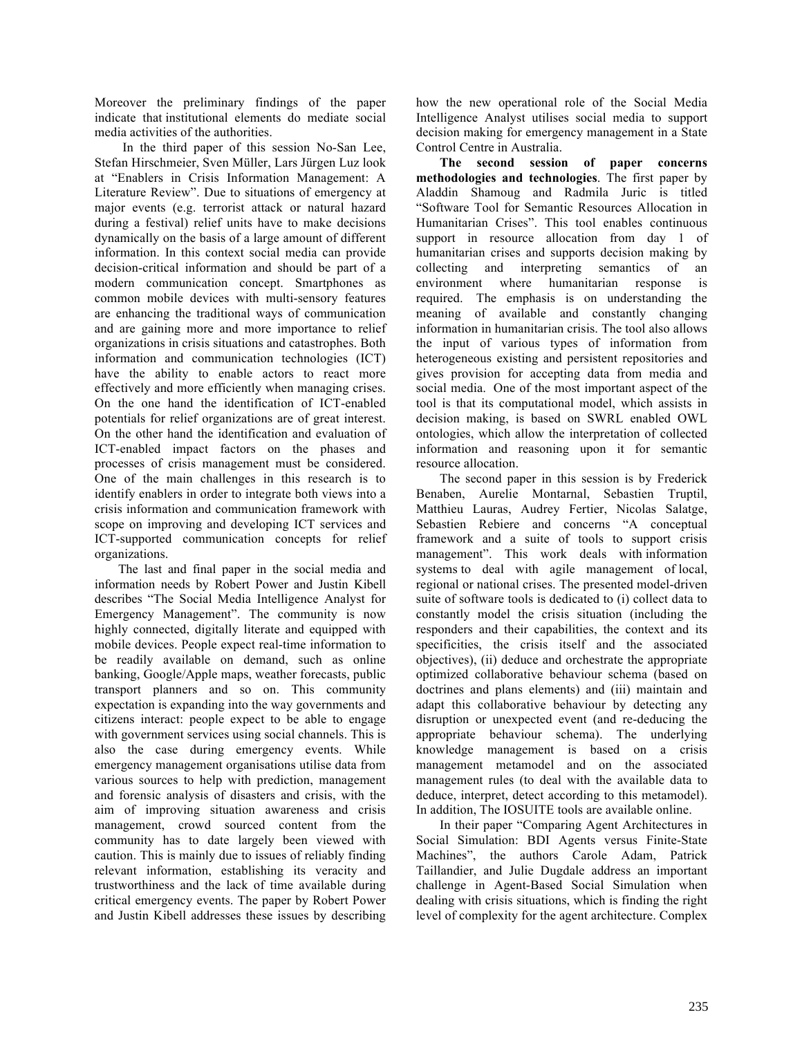Moreover the preliminary findings of the paper indicate that institutional elements do mediate social media activities of the authorities.

In the third paper of this session No-San Lee, Stefan Hirschmeier, Sven Müller, Lars Jürgen Luz look at "Enablers in Crisis Information Management: A Literature Review". Due to situations of emergency at major events (e.g. terrorist attack or natural hazard during a festival) relief units have to make decisions dynamically on the basis of a large amount of different information. In this context social media can provide decision-critical information and should be part of a modern communication concept. Smartphones as common mobile devices with multi-sensory features are enhancing the traditional ways of communication and are gaining more and more importance to relief organizations in crisis situations and catastrophes. Both information and communication technologies (ICT) have the ability to enable actors to react more effectively and more efficiently when managing crises. On the one hand the identification of ICT-enabled potentials for relief organizations are of great interest. On the other hand the identification and evaluation of ICT-enabled impact factors on the phases and processes of crisis management must be considered. One of the main challenges in this research is to identify enablers in order to integrate both views into a crisis information and communication framework with scope on improving and developing ICT services and ICT-supported communication concepts for relief organizations.

The last and final paper in the social media and information needs by Robert Power and Justin Kibell describes "The Social Media Intelligence Analyst for Emergency Management". The community is now highly connected, digitally literate and equipped with mobile devices. People expect real-time information to be readily available on demand, such as online banking, Google/Apple maps, weather forecasts, public transport planners and so on. This community expectation is expanding into the way governments and citizens interact: people expect to be able to engage with government services using social channels. This is also the case during emergency events. While emergency management organisations utilise data from various sources to help with prediction, management and forensic analysis of disasters and crisis, with the aim of improving situation awareness and crisis management, crowd sourced content from the community has to date largely been viewed with caution. This is mainly due to issues of reliably finding relevant information, establishing its veracity and trustworthiness and the lack of time available during critical emergency events. The paper by Robert Power and Justin Kibell addresses these issues by describing

how the new operational role of the Social Media Intelligence Analyst utilises social media to support decision making for emergency management in a State Control Centre in Australia.

**The second session of paper concerns methodologies and technologies**. The first paper by Aladdin Shamoug and Radmila Juric is titled "Software Tool for Semantic Resources Allocation in Humanitarian Crises". This tool enables continuous support in resource allocation from day 1 of humanitarian crises and supports decision making by collecting and interpreting semantics of an environment where humanitarian response is required. The emphasis is on understanding the meaning of available and constantly changing information in humanitarian crisis. The tool also allows the input of various types of information from heterogeneous existing and persistent repositories and gives provision for accepting data from media and social media. One of the most important aspect of the tool is that its computational model, which assists in decision making, is based on SWRL enabled OWL ontologies, which allow the interpretation of collected information and reasoning upon it for semantic resource allocation.

The second paper in this session is by Frederick Benaben, Aurelie Montarnal, Sebastien Truptil, Matthieu Lauras, Audrey Fertier, Nicolas Salatge, Sebastien Rebiere and concerns "A conceptual framework and a suite of tools to support crisis management". This work deals with information systems to deal with agile management of local, regional or national crises. The presented model-driven suite of software tools is dedicated to (i) collect data to constantly model the crisis situation (including the responders and their capabilities, the context and its specificities, the crisis itself and the associated objectives), (ii) deduce and orchestrate the appropriate optimized collaborative behaviour schema (based on doctrines and plans elements) and (iii) maintain and adapt this collaborative behaviour by detecting any disruption or unexpected event (and re-deducing the appropriate behaviour schema). The underlying knowledge management is based on a crisis management metamodel and on the associated management rules (to deal with the available data to deduce, interpret, detect according to this metamodel). In addition, The IOSUITE tools are available online.

In their paper "Comparing Agent Architectures in Social Simulation: BDI Agents versus Finite-State Machines", the authors Carole Adam, Patrick Taillandier, and Julie Dugdale address an important challenge in Agent-Based Social Simulation when dealing with crisis situations, which is finding the right level of complexity for the agent architecture. Complex